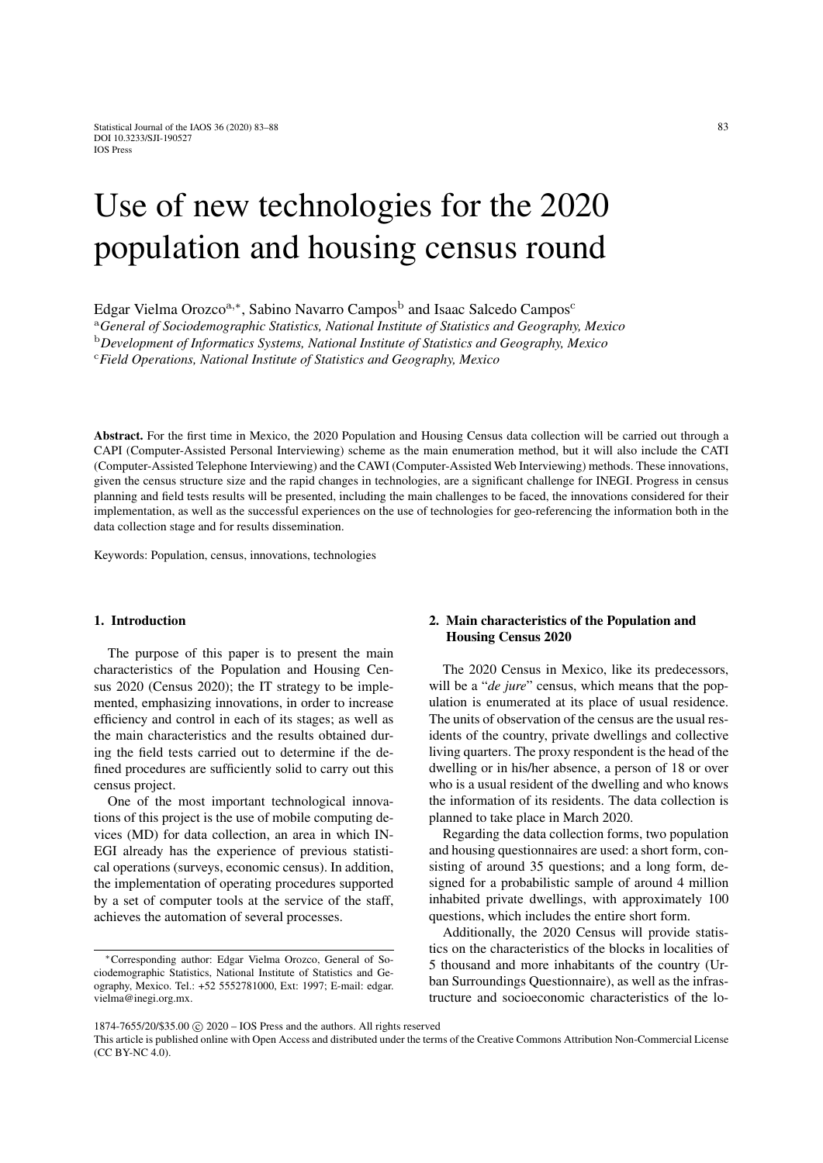# Use of new technologies for the 2020 population and housing census round

Edgar Vielma Orozco<sup>a,∗</sup>, Sabino Navarro Campos<sup>b</sup> and Isaac Salcedo Campos<sup>c</sup>

<sup>a</sup>*General of Sociodemographic Statistics, National Institute of Statistics and Geography, Mexico* <sup>b</sup>*Development of Informatics Systems, National Institute of Statistics and Geography, Mexico* <sup>c</sup>*Field Operations, National Institute of Statistics and Geography, Mexico*

Abstract. For the first time in Mexico, the 2020 Population and Housing Census data collection will be carried out through a CAPI (Computer-Assisted Personal Interviewing) scheme as the main enumeration method, but it will also include the CATI (Computer-Assisted Telephone Interviewing) and the CAWI (Computer-Assisted Web Interviewing) methods. These innovations, given the census structure size and the rapid changes in technologies, are a significant challenge for INEGI. Progress in census planning and field tests results will be presented, including the main challenges to be faced, the innovations considered for their implementation, as well as the successful experiences on the use of technologies for geo-referencing the information both in the data collection stage and for results dissemination.

Keywords: Population, census, innovations, technologies

#### 1. Introduction

The purpose of this paper is to present the main characteristics of the Population and Housing Census 2020 (Census 2020); the IT strategy to be implemented, emphasizing innovations, in order to increase efficiency and control in each of its stages; as well as the main characteristics and the results obtained during the field tests carried out to determine if the defined procedures are sufficiently solid to carry out this census project.

One of the most important technological innovations of this project is the use of mobile computing devices (MD) for data collection, an area in which IN-EGI already has the experience of previous statistical operations (surveys, economic census). In addition, the implementation of operating procedures supported by a set of computer tools at the service of the staff, achieves the automation of several processes.

## 2. Main characteristics of the Population and Housing Census 2020

The 2020 Census in Mexico, like its predecessors, will be a "*de jure*" census, which means that the population is enumerated at its place of usual residence. The units of observation of the census are the usual residents of the country, private dwellings and collective living quarters. The proxy respondent is the head of the dwelling or in his/her absence, a person of 18 or over who is a usual resident of the dwelling and who knows the information of its residents. The data collection is planned to take place in March 2020.

Regarding the data collection forms, two population and housing questionnaires are used: a short form, consisting of around 35 questions; and a long form, designed for a probabilistic sample of around 4 million inhabited private dwellings, with approximately 100 questions, which includes the entire short form.

Additionally, the 2020 Census will provide statistics on the characteristics of the blocks in localities of 5 thousand and more inhabitants of the country (Urban Surroundings Questionnaire), as well as the infrastructure and socioeconomic characteristics of the lo-

<sup>∗</sup>Corresponding author: Edgar Vielma Orozco, General of Sociodemographic Statistics, National Institute of Statistics and Geography, Mexico. Tel.: +52 5552781000, Ext: 1997; E-mail: edgar. vielma@inegi.org.mx.

<sup>1874-7655/20/\$35.00 © 2020 -</sup> IOS Press and the authors. All rights reserved

This article is published online with Open Access and distributed under the terms of the Creative Commons Attribution Non-Commercial License (CC BY-NC 4.0).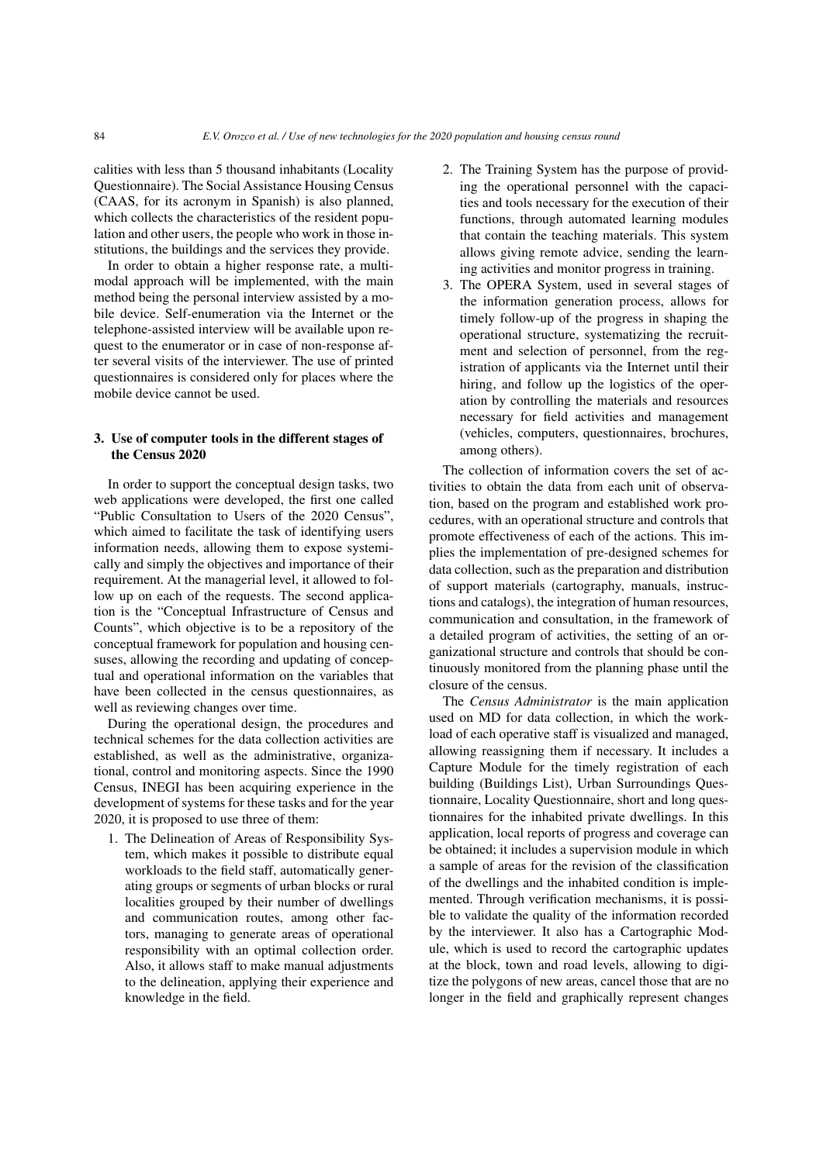calities with less than 5 thousand inhabitants (Locality Questionnaire). The Social Assistance Housing Census (CAAS, for its acronym in Spanish) is also planned, which collects the characteristics of the resident population and other users, the people who work in those institutions, the buildings and the services they provide.

In order to obtain a higher response rate, a multimodal approach will be implemented, with the main method being the personal interview assisted by a mobile device. Self-enumeration via the Internet or the telephone-assisted interview will be available upon request to the enumerator or in case of non-response after several visits of the interviewer. The use of printed questionnaires is considered only for places where the mobile device cannot be used.

### 3. Use of computer tools in the different stages of the Census 2020

In order to support the conceptual design tasks, two web applications were developed, the first one called "Public Consultation to Users of the 2020 Census", which aimed to facilitate the task of identifying users information needs, allowing them to expose systemically and simply the objectives and importance of their requirement. At the managerial level, it allowed to follow up on each of the requests. The second application is the "Conceptual Infrastructure of Census and Counts", which objective is to be a repository of the conceptual framework for population and housing censuses, allowing the recording and updating of conceptual and operational information on the variables that have been collected in the census questionnaires, as well as reviewing changes over time.

During the operational design, the procedures and technical schemes for the data collection activities are established, as well as the administrative, organizational, control and monitoring aspects. Since the 1990 Census, INEGI has been acquiring experience in the development of systems for these tasks and for the year 2020, it is proposed to use three of them:

1. The Delineation of Areas of Responsibility System, which makes it possible to distribute equal workloads to the field staff, automatically generating groups or segments of urban blocks or rural localities grouped by their number of dwellings and communication routes, among other factors, managing to generate areas of operational responsibility with an optimal collection order. Also, it allows staff to make manual adjustments to the delineation, applying their experience and knowledge in the field.

- 2. The Training System has the purpose of providing the operational personnel with the capacities and tools necessary for the execution of their functions, through automated learning modules that contain the teaching materials. This system allows giving remote advice, sending the learning activities and monitor progress in training.
- 3. The OPERA System, used in several stages of the information generation process, allows for timely follow-up of the progress in shaping the operational structure, systematizing the recruitment and selection of personnel, from the registration of applicants via the Internet until their hiring, and follow up the logistics of the operation by controlling the materials and resources necessary for field activities and management (vehicles, computers, questionnaires, brochures, among others).

The collection of information covers the set of activities to obtain the data from each unit of observation, based on the program and established work procedures, with an operational structure and controls that promote effectiveness of each of the actions. This implies the implementation of pre-designed schemes for data collection, such as the preparation and distribution of support materials (cartography, manuals, instructions and catalogs), the integration of human resources, communication and consultation, in the framework of a detailed program of activities, the setting of an organizational structure and controls that should be continuously monitored from the planning phase until the closure of the census.

The *Census Administrator* is the main application used on MD for data collection, in which the workload of each operative staff is visualized and managed, allowing reassigning them if necessary. It includes a Capture Module for the timely registration of each building (Buildings List), Urban Surroundings Questionnaire, Locality Questionnaire, short and long questionnaires for the inhabited private dwellings. In this application, local reports of progress and coverage can be obtained; it includes a supervision module in which a sample of areas for the revision of the classification of the dwellings and the inhabited condition is implemented. Through verification mechanisms, it is possible to validate the quality of the information recorded by the interviewer. It also has a Cartographic Module, which is used to record the cartographic updates at the block, town and road levels, allowing to digitize the polygons of new areas, cancel those that are no longer in the field and graphically represent changes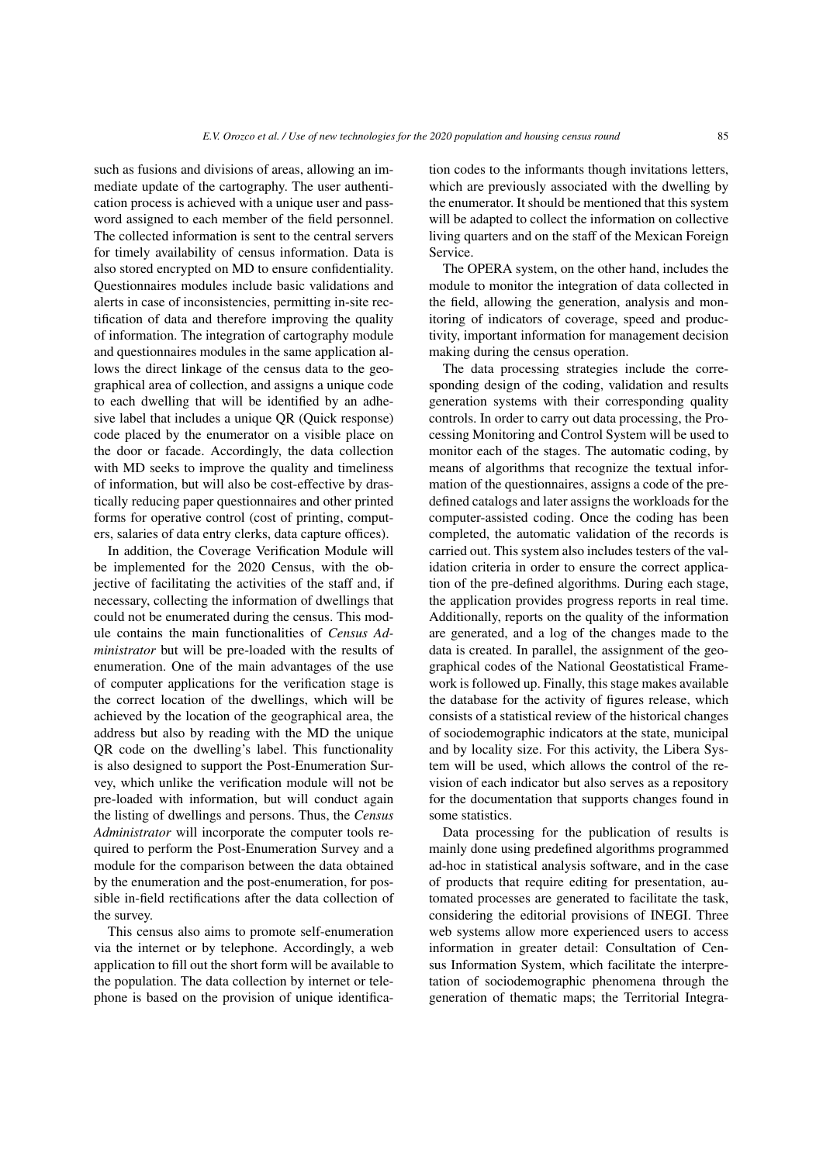such as fusions and divisions of areas, allowing an immediate update of the cartography. The user authentication process is achieved with a unique user and password assigned to each member of the field personnel. The collected information is sent to the central servers for timely availability of census information. Data is also stored encrypted on MD to ensure confidentiality. Questionnaires modules include basic validations and alerts in case of inconsistencies, permitting in-site rectification of data and therefore improving the quality of information. The integration of cartography module and questionnaires modules in the same application allows the direct linkage of the census data to the geographical area of collection, and assigns a unique code to each dwelling that will be identified by an adhesive label that includes a unique QR (Quick response) code placed by the enumerator on a visible place on the door or facade. Accordingly, the data collection with MD seeks to improve the quality and timeliness of information, but will also be cost-effective by drastically reducing paper questionnaires and other printed forms for operative control (cost of printing, computers, salaries of data entry clerks, data capture offices).

In addition, the Coverage Verification Module will be implemented for the 2020 Census, with the objective of facilitating the activities of the staff and, if necessary, collecting the information of dwellings that could not be enumerated during the census. This module contains the main functionalities of *Census Administrator* but will be pre-loaded with the results of enumeration. One of the main advantages of the use of computer applications for the verification stage is the correct location of the dwellings, which will be achieved by the location of the geographical area, the address but also by reading with the MD the unique QR code on the dwelling's label. This functionality is also designed to support the Post-Enumeration Survey, which unlike the verification module will not be pre-loaded with information, but will conduct again the listing of dwellings and persons. Thus, the *Census Administrator* will incorporate the computer tools required to perform the Post-Enumeration Survey and a module for the comparison between the data obtained by the enumeration and the post-enumeration, for possible in-field rectifications after the data collection of the survey.

This census also aims to promote self-enumeration via the internet or by telephone. Accordingly, a web application to fill out the short form will be available to the population. The data collection by internet or telephone is based on the provision of unique identification codes to the informants though invitations letters, which are previously associated with the dwelling by the enumerator. It should be mentioned that this system will be adapted to collect the information on collective living quarters and on the staff of the Mexican Foreign Service.

The OPERA system, on the other hand, includes the module to monitor the integration of data collected in the field, allowing the generation, analysis and monitoring of indicators of coverage, speed and productivity, important information for management decision making during the census operation.

The data processing strategies include the corresponding design of the coding, validation and results generation systems with their corresponding quality controls. In order to carry out data processing, the Processing Monitoring and Control System will be used to monitor each of the stages. The automatic coding, by means of algorithms that recognize the textual information of the questionnaires, assigns a code of the predefined catalogs and later assigns the workloads for the computer-assisted coding. Once the coding has been completed, the automatic validation of the records is carried out. This system also includes testers of the validation criteria in order to ensure the correct application of the pre-defined algorithms. During each stage, the application provides progress reports in real time. Additionally, reports on the quality of the information are generated, and a log of the changes made to the data is created. In parallel, the assignment of the geographical codes of the National Geostatistical Framework is followed up. Finally, this stage makes available the database for the activity of figures release, which consists of a statistical review of the historical changes of sociodemographic indicators at the state, municipal and by locality size. For this activity, the Libera System will be used, which allows the control of the revision of each indicator but also serves as a repository for the documentation that supports changes found in some statistics.

Data processing for the publication of results is mainly done using predefined algorithms programmed ad-hoc in statistical analysis software, and in the case of products that require editing for presentation, automated processes are generated to facilitate the task, considering the editorial provisions of INEGI. Three web systems allow more experienced users to access information in greater detail: Consultation of Census Information System, which facilitate the interpretation of sociodemographic phenomena through the generation of thematic maps; the Territorial Integra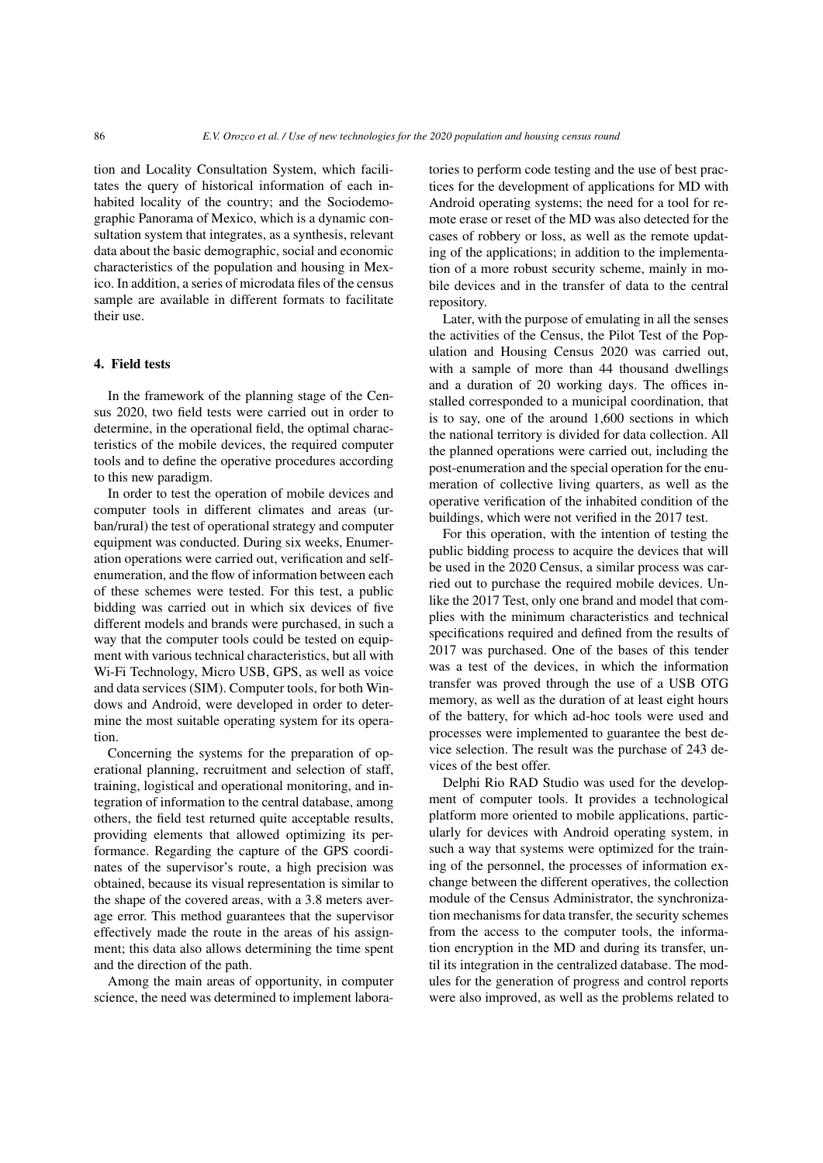tion and Locality Consultation System, which facilitates the query of historical information of each inhabited locality of the country; and the Sociodemographic Panorama of Mexico, which is a dynamic consultation system that integrates, as a synthesis, relevant data about the basic demographic, social and economic characteristics of the population and housing in Mexico. In addition, a series of microdata files of the census sample are available in different formats to facilitate their use.

#### 4. Field tests

In the framework of the planning stage of the Census 2020, two field tests were carried out in order to determine, in the operational field, the optimal characteristics of the mobile devices, the required computer tools and to define the operative procedures according to this new paradigm.

In order to test the operation of mobile devices and computer tools in different climates and areas (urban/rural) the test of operational strategy and computer equipment was conducted. During six weeks, Enumeration operations were carried out, verification and selfenumeration, and the flow of information between each of these schemes were tested. For this test, a public bidding was carried out in which six devices of five different models and brands were purchased, in such a way that the computer tools could be tested on equipment with various technical characteristics, but all with Wi-Fi Technology, Micro USB, GPS, as well as voice and data services (SIM). Computer tools, for both Windows and Android, were developed in order to determine the most suitable operating system for its operation.

Concerning the systems for the preparation of operational planning, recruitment and selection of staff, training, logistical and operational monitoring, and integration of information to the central database, among others, the field test returned quite acceptable results, providing elements that allowed optimizing its performance. Regarding the capture of the GPS coordinates of the supervisor's route, a high precision was obtained, because its visual representation is similar to the shape of the covered areas, with a 3.8 meters average error. This method guarantees that the supervisor effectively made the route in the areas of his assignment; this data also allows determining the time spent and the direction of the path.

Among the main areas of opportunity, in computer science, the need was determined to implement laboratories to perform code testing and the use of best practices for the development of applications for MD with Android operating systems; the need for a tool for remote erase or reset of the MD was also detected for the cases of robbery or loss, as well as the remote updating of the applications; in addition to the implementation of a more robust security scheme, mainly in mobile devices and in the transfer of data to the central repository.

Later, with the purpose of emulating in all the senses the activities of the Census, the Pilot Test of the Population and Housing Census 2020 was carried out, with a sample of more than 44 thousand dwellings and a duration of 20 working days. The offices installed corresponded to a municipal coordination, that is to say, one of the around 1,600 sections in which the national territory is divided for data collection. All the planned operations were carried out, including the post-enumeration and the special operation for the enumeration of collective living quarters, as well as the operative verification of the inhabited condition of the buildings, which were not verified in the 2017 test.

For this operation, with the intention of testing the public bidding process to acquire the devices that will be used in the 2020 Census, a similar process was carried out to purchase the required mobile devices. Unlike the 2017 Test, only one brand and model that complies with the minimum characteristics and technical specifications required and defined from the results of 2017 was purchased. One of the bases of this tender was a test of the devices, in which the information transfer was proved through the use of a USB OTG memory, as well as the duration of at least eight hours of the battery, for which ad-hoc tools were used and processes were implemented to guarantee the best device selection. The result was the purchase of 243 devices of the best offer.

Delphi Rio RAD Studio was used for the development of computer tools. It provides a technological platform more oriented to mobile applications, particularly for devices with Android operating system, in such a way that systems were optimized for the training of the personnel, the processes of information exchange between the different operatives, the collection module of the Census Administrator, the synchronization mechanisms for data transfer, the security schemes from the access to the computer tools, the information encryption in the MD and during its transfer, until its integration in the centralized database. The modules for the generation of progress and control reports were also improved, as well as the problems related to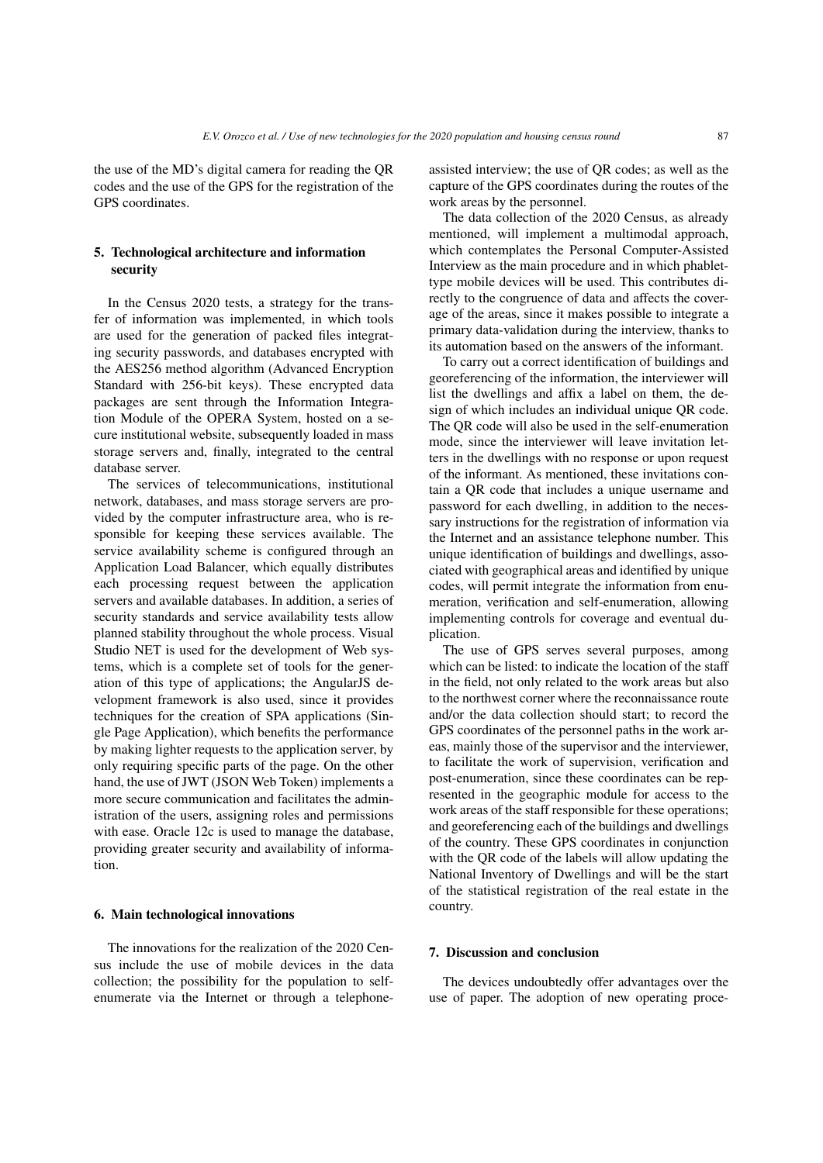the use of the MD's digital camera for reading the QR codes and the use of the GPS for the registration of the GPS coordinates.

## 5. Technological architecture and information security

In the Census 2020 tests, a strategy for the transfer of information was implemented, in which tools are used for the generation of packed files integrating security passwords, and databases encrypted with the AES256 method algorithm (Advanced Encryption Standard with 256-bit keys). These encrypted data packages are sent through the Information Integration Module of the OPERA System, hosted on a secure institutional website, subsequently loaded in mass storage servers and, finally, integrated to the central database server.

The services of telecommunications, institutional network, databases, and mass storage servers are provided by the computer infrastructure area, who is responsible for keeping these services available. The service availability scheme is configured through an Application Load Balancer, which equally distributes each processing request between the application servers and available databases. In addition, a series of security standards and service availability tests allow planned stability throughout the whole process. Visual Studio NET is used for the development of Web systems, which is a complete set of tools for the generation of this type of applications; the AngularJS development framework is also used, since it provides techniques for the creation of SPA applications (Single Page Application), which benefits the performance by making lighter requests to the application server, by only requiring specific parts of the page. On the other hand, the use of JWT (JSON Web Token) implements a more secure communication and facilitates the administration of the users, assigning roles and permissions with ease. Oracle 12c is used to manage the database, providing greater security and availability of information.

## 6. Main technological innovations

The innovations for the realization of the 2020 Census include the use of mobile devices in the data collection; the possibility for the population to selfenumerate via the Internet or through a telephoneassisted interview; the use of QR codes; as well as the capture of the GPS coordinates during the routes of the work areas by the personnel.

The data collection of the 2020 Census, as already mentioned, will implement a multimodal approach, which contemplates the Personal Computer-Assisted Interview as the main procedure and in which phablettype mobile devices will be used. This contributes directly to the congruence of data and affects the coverage of the areas, since it makes possible to integrate a primary data-validation during the interview, thanks to its automation based on the answers of the informant.

To carry out a correct identification of buildings and georeferencing of the information, the interviewer will list the dwellings and affix a label on them, the design of which includes an individual unique QR code. The QR code will also be used in the self-enumeration mode, since the interviewer will leave invitation letters in the dwellings with no response or upon request of the informant. As mentioned, these invitations contain a QR code that includes a unique username and password for each dwelling, in addition to the necessary instructions for the registration of information via the Internet and an assistance telephone number. This unique identification of buildings and dwellings, associated with geographical areas and identified by unique codes, will permit integrate the information from enumeration, verification and self-enumeration, allowing implementing controls for coverage and eventual duplication.

The use of GPS serves several purposes, among which can be listed: to indicate the location of the staff in the field, not only related to the work areas but also to the northwest corner where the reconnaissance route and/or the data collection should start; to record the GPS coordinates of the personnel paths in the work areas, mainly those of the supervisor and the interviewer, to facilitate the work of supervision, verification and post-enumeration, since these coordinates can be represented in the geographic module for access to the work areas of the staff responsible for these operations; and georeferencing each of the buildings and dwellings of the country. These GPS coordinates in conjunction with the QR code of the labels will allow updating the National Inventory of Dwellings and will be the start of the statistical registration of the real estate in the country.

#### 7. Discussion and conclusion

The devices undoubtedly offer advantages over the use of paper. The adoption of new operating proce